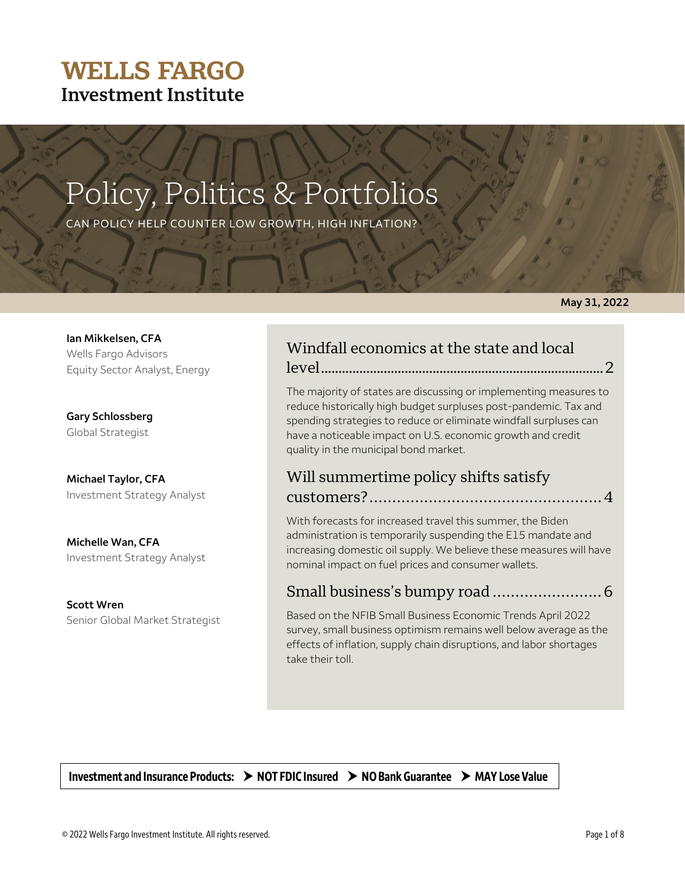# **WELLS FARGO Investment Institute**

# Policy, Politics & Portfolios

CAN POLICY HELP COUNTER LOW GROWTH, HIGH INFLATION?

#### **May 31, 2022**

| Ian Mikkelsen, CFA            |  |  |  |  |
|-------------------------------|--|--|--|--|
| Wells Fargo Advisors          |  |  |  |  |
| Equity Sector Analyst, Energy |  |  |  |  |

**Gary Schlossberg** Global Strategist

**Michael Taylor, CFA**  Investment Strategy Analyst

**Michelle Wan, CFA**  Investment Strategy Analyst

**Scott Wren**  Senior Global Market Strategist

# Windfall economics at the state and local

level................................................................................. 2

The majority of states are discussing or implementing measures to reduce historically high budget surpluses post-pandemic. Tax and spending strategies to reduce or eliminate windfall surpluses can have a noticeable impact on U.S. economic growth and credit quality in the municipal bond market.

### Will summertime policy shifts satisfy customers?................................................... 4

With forecasts for increased travel this summer, the Biden administration is temporarily suspending the E15 mandate and increasing domestic oil supply. We believe these measures will have nominal impact on fuel prices and consumer wallets.

### Small business's bumpy road ........................ 6

Based on the NFIB Small Business Economic Trends April 2022 survey, small business optimism remains well below average as the effects of inflation, supply chain disruptions, and labor shortages take their toll.

**Investment and Insurance Products: NOT FDIC Insured NO Bank Guarantee MAY Lose Value**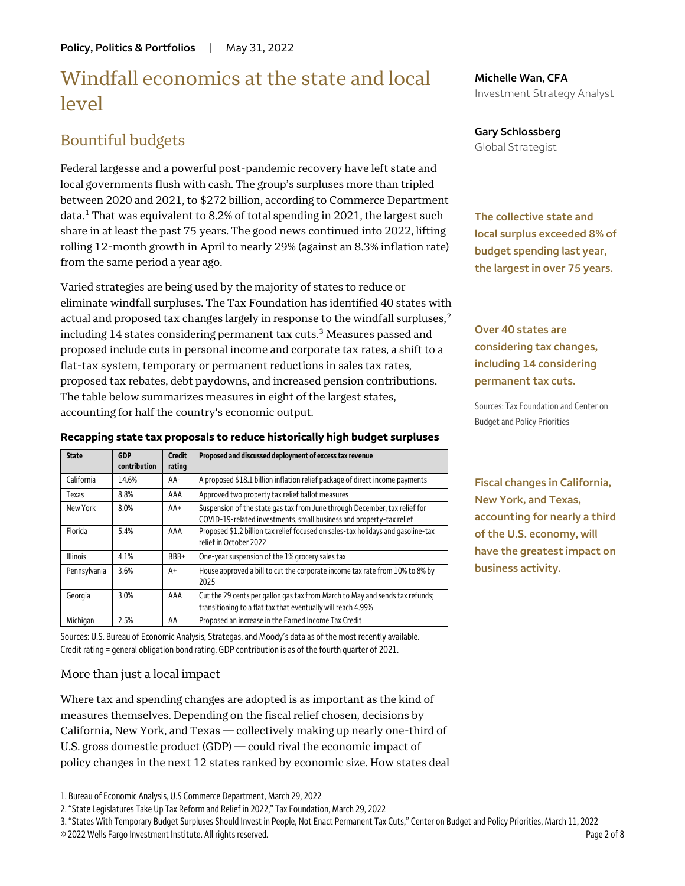# Windfall economics at the state and local level

## Bountiful budgets

Federal largesse and a powerful post-pandemic recovery have left state and local governments flush with cash. The group's surpluses more than tripled between 2020 and 2021, to \$272 billion, according to Commerce Department data.<sup>[1](#page-1-0)</sup> That was equivalent to 8.2% of total spending in 2021, the largest such share in at least the past 75 years. The good news continued into 2022, lifting rolling 12-month growth in April to nearly 29% (against an 8.3% inflation rate) from the same period a year ago.

Varied strategies are being used by the majority of states to reduce or eliminate windfall surpluses. The Tax Foundation has identified 40 states with actual and proposed tax changes largely in response to the windfall surpluses, $2$ including 14 states considering permanent tax cuts.<sup>[3](#page-1-2)</sup> Measures passed and proposed include cuts in personal income and corporate tax rates, a shift to a flat-tax system, temporary or permanent reductions in sales tax rates, proposed tax rebates, debt paydowns, and increased pension contributions. The table below summarizes measures in eight of the largest states, accounting for half the country's economic output.

| <b>State</b>    | GDP<br>contribution | <b>Credit</b><br>rating | Proposed and discussed deployment of excess tax revenue                                                                                            |
|-----------------|---------------------|-------------------------|----------------------------------------------------------------------------------------------------------------------------------------------------|
| California      | 14.6%               | AA-                     | A proposed \$18.1 billion inflation relief package of direct income payments                                                                       |
| Texas           | 8.8%                | AAA                     | Approved two property tax relief ballot measures                                                                                                   |
| New York        | 8.0%                | $AA+$                   | Suspension of the state gas tax from June through December, tax relief for<br>COVID-19-related investments, small business and property-tax relief |
| Florida         | 5.4%                | AAA                     | Proposed \$1.2 billion tax relief focused on sales-tax holidays and gasoline-tax<br>relief in October 2022                                         |
| <b>Illinois</b> | 4.1%                | BBB+                    | One-year suspension of the 1% grocery sales tax                                                                                                    |
| Pennsylvania    | 3.6%                | A+                      | House approved a bill to cut the corporate income tax rate from 10% to 8% by<br>2025                                                               |
| Georgia         | 3.0%                | AAA                     | Cut the 29 cents per gallon gas tax from March to May and sends tax refunds;<br>transitioning to a flat tax that eventually will reach 4.99%       |
| Michigan        | 2.5%                | AA                      | Proposed an increase in the Earned Income Tax Credit                                                                                               |

**Recapping state tax proposals to reduce historically high budget surpluses**

Sources: U.S. Bureau of Economic Analysis, Strategas, and Moody's data as of the most recently available. Credit rating = general obligation bond rating. GDP contribution is as of the fourth quarter of 2021.

#### More than just a local impact

 $\overline{a}$ 

Where tax and spending changes are adopted is as important as the kind of measures themselves. Depending on the fiscal relief chosen, decisions by California, New York, and Texas — collectively making up nearly one-third of U.S. gross domestic product (GDP) — could rival the economic impact of policy changes in the next 12 states ranked by economic size. How states deal **Michelle Wan, CFA** Investment Strategy Analyst

#### **Gary Schlossberg** Global Strategist

**The collective state and local surplus exceeded 8% of budget spending last year, the largest in over 75 years.** 

**Over 40 states are considering tax changes, including 14 considering permanent tax cuts.** 

Sources: Tax Foundation and Center on Budget and Policy Priorities

**Fiscal changes in California, New York, and Texas, accounting for nearly a third of the U.S. economy, will have the greatest impact on business activity.** 

<span id="page-1-0"></span><sup>1.</sup> Bureau of Economic Analysis, U.S Commerce Department, March 29, 2022

<span id="page-1-1"></span><sup>2. &</sup>quot;State Legislatures Take Up Tax Reform and Relief in 2022," Tax Foundation, March 29, 2022

<span id="page-1-2"></span><sup>© 2022</sup> Wells Fargo Investment Institute. All rights reserved. Page 2 of 8 3. "States With Temporary Budget Surpluses Should Invest in People, Not Enact Permanent Tax Cuts," Center on Budget and Policy Priorities, March 11, 2022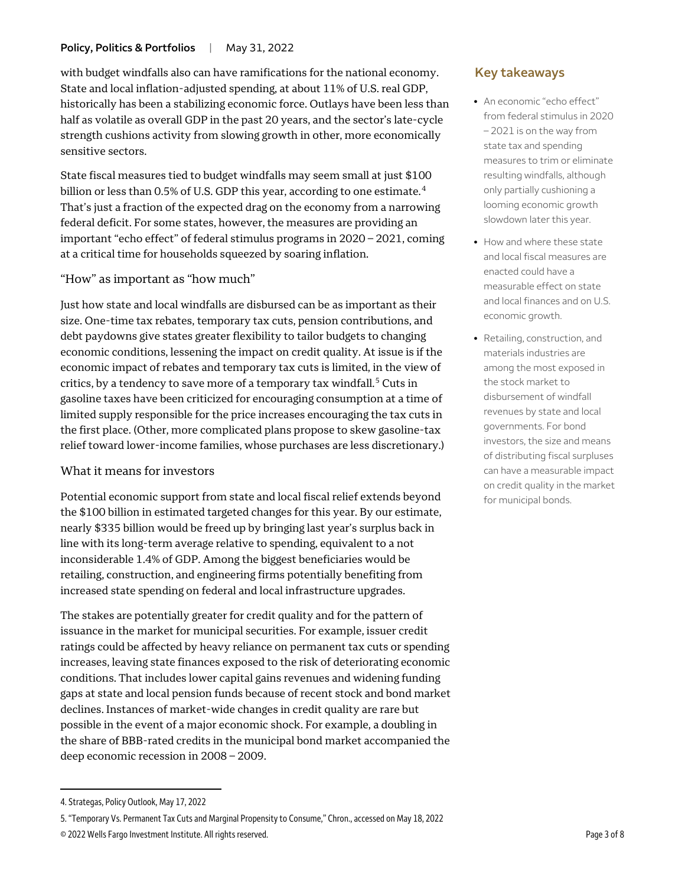with budget windfalls also can have ramifications for the national economy. State and local inflation-adjusted spending, at about 11% of U.S. real GDP, historically has been a stabilizing economic force. Outlays have been less than half as volatile as overall GDP in the past 20 years, and the sector's late-cycle strength cushions activity from slowing growth in other, more economically sensitive sectors.

State fiscal measures tied to budget windfalls may seem small at just \$100 billion or less than 0.5% of U.S. GDP this year, according to one estimate.<sup>[4](#page-2-0)</sup> That's just a fraction of the expected drag on the economy from a narrowing federal deficit. For some states, however, the measures are providing an important "echo effect" of federal stimulus programs in 2020 – 2021, coming at a critical time for households squeezed by soaring inflation.

#### "How" as important as "how much"

Just how state and local windfalls are disbursed can be as important as their size. One-time tax rebates, temporary tax cuts, pension contributions, and debt paydowns give states greater flexibility to tailor budgets to changing economic conditions, lessening the impact on credit quality. At issue is if the economic impact of rebates and temporary tax cuts is limited, in the view of critics, by a tendency to save more of a temporary tax windfall.<sup>[5](#page-2-1)</sup> Cuts in gasoline taxes have been criticized for encouraging consumption at a time of limited supply responsible for the price increases encouraging the tax cuts in the first place. (Other, more complicated plans propose to skew gasoline-tax relief toward lower-income families, whose purchases are less discretionary.)

#### What it means for investors

Potential economic support from state and local fiscal relief extends beyond the \$100 billion in estimated targeted changes for this year. By our estimate, nearly \$335 billion would be freed up by bringing last year's surplus back in line with its long-term average relative to spending, equivalent to a not inconsiderable 1.4% of GDP. Among the biggest beneficiaries would be retailing, construction, and engineering firms potentially benefiting from increased state spending on federal and local infrastructure upgrades.

The stakes are potentially greater for credit quality and for the pattern of issuance in the market for municipal securities. For example, issuer credit ratings could be affected by heavy reliance on permanent tax cuts or spending increases, leaving state finances exposed to the risk of deteriorating economic conditions. That includes lower capital gains revenues and widening funding gaps at state and local pension funds because of recent stock and bond market declines. Instances of market-wide changes in credit quality are rare but possible in the event of a major economic shock. For example, a doubling in the share of BBB-rated credits in the municipal bond market accompanied the deep economic recession in 2008 – 2009.

 $\overline{a}$ 

### **Key takeaways**

- An economic "echo effect" from federal stimulus in 2020 – 2021 is on the way from state tax and spending measures to trim or eliminate resulting windfalls, although only partially cushioning a looming economic growth slowdown later this year.
- How and where these state and local fiscal measures are enacted could have a measurable effect on state and local finances and on U.S. economic growth.
- Retailing, construction, and materials industries are among the most exposed in the stock market to disbursement of windfall revenues by state and local governments. For bond investors, the size and means of distributing fiscal surpluses can have a measurable impact on credit quality in the market for municipal bonds.

<span id="page-2-0"></span><sup>4.</sup> Strategas, Policy Outlook, May 17, 2022

<span id="page-2-1"></span><sup>5. &</sup>quot;Temporary Vs. Permanent Tax Cuts and Marginal Propensity to Consume," Chron., accessed on May 18, 2022

<sup>© 2022</sup> Wells Fargo Investment Institute. All rights reserved. Page 3 of 8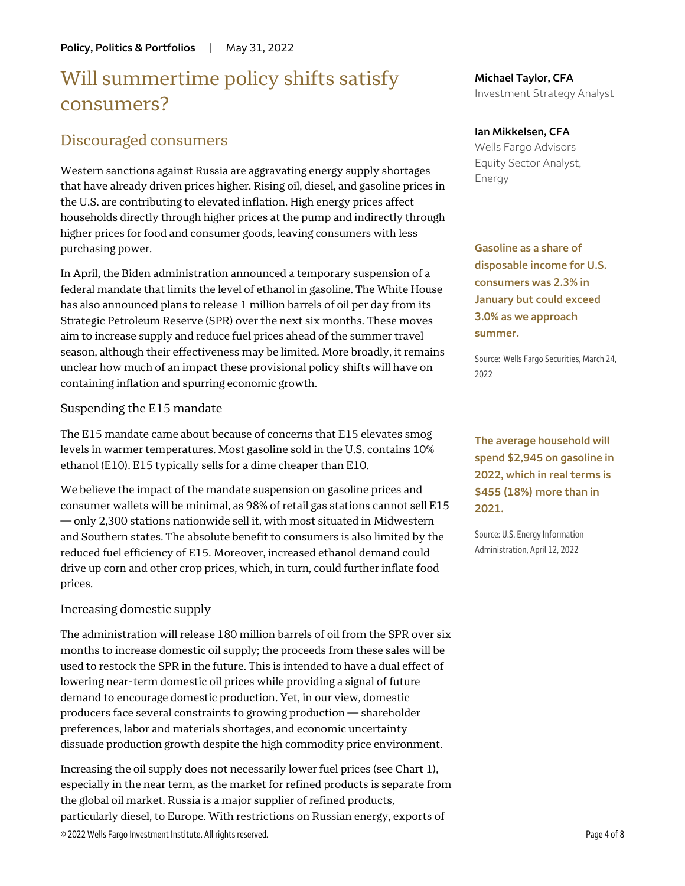# Will summertime policy shifts satisfy consumers?

### Discouraged consumers

Western sanctions against Russia are aggravating energy supply shortages that have already driven prices higher. Rising oil, diesel, and gasoline prices in the U.S. are contributing to elevated inflation. High energy prices affect households directly through higher prices at the pump and indirectly through higher prices for food and consumer goods, leaving consumers with less purchasing power.

In April, the Biden administration announced a temporary suspension of a federal mandate that limits the level of ethanol in gasoline. The White House has also announced plans to release 1 million barrels of oil per day from its Strategic Petroleum Reserve (SPR) over the next six months. These moves aim to increase supply and reduce fuel prices ahead of the summer travel season, although their effectiveness may be limited. More broadly, it remains unclear how much of an impact these provisional policy shifts will have on containing inflation and spurring economic growth.

#### Suspending the E15 mandate

The E15 mandate came about because of concerns that E15 elevates smog levels in warmer temperatures. Most gasoline sold in the U.S. contains 10% ethanol (E10). E15 typically sells for a dime cheaper than E10.

We believe the impact of the mandate suspension on gasoline prices and consumer wallets will be minimal, as 98% of retail gas stations cannot sell E15 — only 2,300 stations nationwide sell it, with most situated in Midwestern and Southern states. The absolute benefit to consumers is also limited by the reduced fuel efficiency of E15. Moreover, increased ethanol demand could drive up corn and other crop prices, which, in turn, could further inflate food prices.

#### Increasing domestic supply

The administration will release 180 million barrels of oil from the SPR over six months to increase domestic oil supply; the proceeds from these sales will be used to restock the SPR in the future. This is intended to have a dual effect of lowering near-term domestic oil prices while providing a signal of future demand to encourage domestic production. Yet, in our view, domestic producers face several constraints to growing production — shareholder preferences, labor and materials shortages, and economic uncertainty dissuade production growth despite the high commodity price environment.

© 2022 Wells Fargo Investment Institute. All rights reserved. Page 4 of 8 Increasing the oil supply does not necessarily lower fuel prices (see Chart 1), especially in the near term, as the market for refined products is separate from the global oil market. Russia is a major supplier of refined products, particularly diesel, to Europe. With restrictions on Russian energy, exports of

**Michael Taylor, CFA** Investment Strategy Analyst

#### **Ian Mikkelsen, CFA**

Wells Fargo Advisors Equity Sector Analyst, Energy

**Gasoline as a share of disposable income for U.S. consumers was 2.3% in January but could exceed 3.0% as we approach summer.** 

Source: Wells Fargo Securities, March 24, 2022

**The average household will spend \$2,945 on gasoline in 2022, which in real terms is \$455 (18%) more than in 2021.** 

Source: U.S. Energy Information Administration, April 12, 2022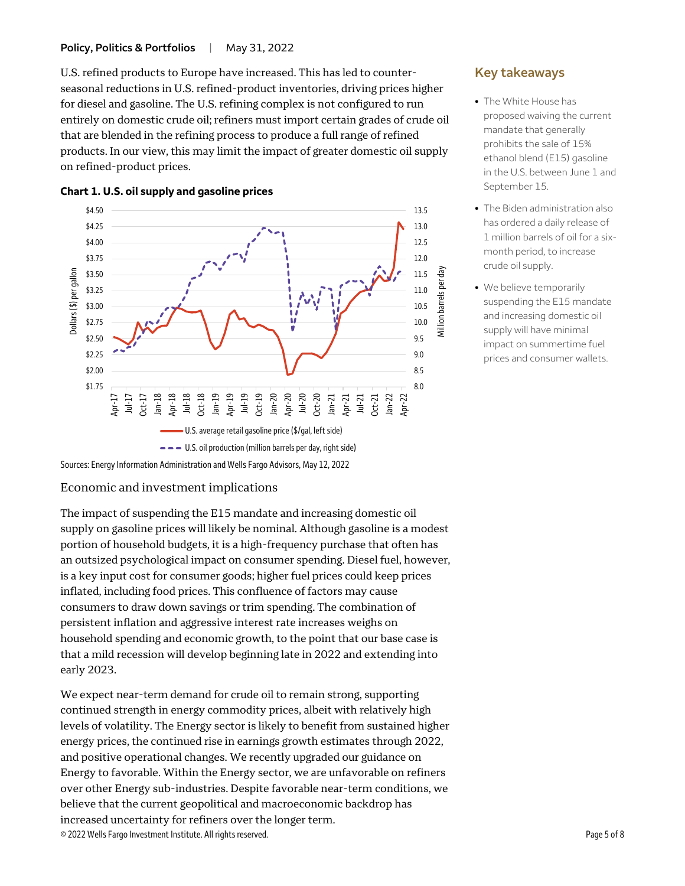U.S. refined products to Europe have increased. This has led to counterseasonal reductions in U.S. refined-product inventories, driving prices higher for diesel and gasoline. The U.S. refining complex is not configured to run entirely on domestic crude oil; refiners must import certain grades of crude oil that are blended in the refining process to produce a full range of refined products. In our view, this may limit the impact of greater domestic oil supply on refined-product prices.



#### **Chart 1. U.S. oil supply and gasoline prices**

#### Economic and investment implications

The impact of suspending the E15 mandate and increasing domestic oil supply on gasoline prices will likely be nominal. Although gasoline is a modest portion of household budgets, it is a high-frequency purchase that often has an outsized psychological impact on consumer spending. Diesel fuel, however, is a key input cost for consumer goods; higher fuel prices could keep prices inflated, including food prices. This confluence of factors may cause consumers to draw down savings or trim spending. The combination of persistent inflation and aggressive interest rate increases weighs on household spending and economic growth, to the point that our base case is that a mild recession will develop beginning late in 2022 and extending into early 2023.

© 2022 Wells Fargo Investment Institute. All rights reserved. Page 5 of 8 We expect near-term demand for crude oil to remain strong, supporting continued strength in energy commodity prices, albeit with relatively high levels of volatility. The Energy sector is likely to benefit from sustained higher energy prices, the continued rise in earnings growth estimates through 2022, and positive operational changes. We recently upgraded our guidance on Energy to favorable. Within the Energy sector, we are unfavorable on refiners over other Energy sub-industries. Despite favorable near-term conditions, we believe that the current geopolitical and macroeconomic backdrop has increased uncertainty for refiners over the longer term.

### **Key takeaways**

- The White House has proposed waiving the current mandate that generally prohibits the sale of 15% ethanol blend (E15) gasoline in the U.S. between June 1 and September 15.
- The Biden administration also has ordered a daily release of 1 million barrels of oil for a sixmonth period, to increase crude oil supply.
- We believe temporarily suspending the E15 mandate and increasing domestic oil supply will have minimal impact on summertime fuel prices and consumer wallets.

Sources: Energy Information Administration and Wells Fargo Advisors, May 12, 2022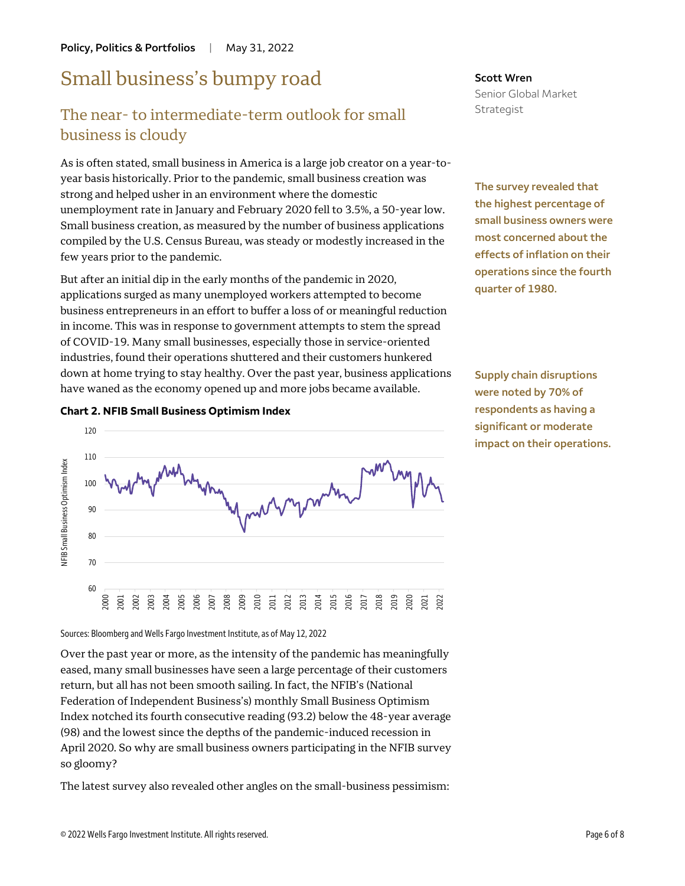# Small business's bumpy road

# The near- to intermediate-term outlook for small business is cloudy

As is often stated, small business in America is a large job creator on a year-toyear basis historically. Prior to the pandemic, small business creation was strong and helped usher in an environment where the domestic unemployment rate in January and February 2020 fell to 3.5%, a 50-year low. Small business creation, as measured by the number of business applications compiled by the U.S. Census Bureau, was steady or modestly increased in the few years prior to the pandemic.

But after an initial dip in the early months of the pandemic in 2020, applications surged as many unemployed workers attempted to become business entrepreneurs in an effort to buffer a loss of or meaningful reduction in income. This was in response to government attempts to stem the spread of COVID-19. Many small businesses, especially those in service-oriented industries, found their operations shuttered and their customers hunkered down at home trying to stay healthy. Over the past year, business applications have waned as the economy opened up and more jobs became available.

#### **Chart 2. NFIB Small Business Optimism Index**



Senior Global Market Strategist

**Scott Wren**

**The survey revealed that the highest percentage of small business owners were most concerned about the effects of inflation on their operations since the fourth quarter of 1980.** 

**Supply chain disruptions were noted by 70% of respondents as having a significant or moderate impact on their operations.**

Sources: Bloomberg and Wells Fargo Investment Institute, as of May 12, 2022

Over the past year or more, as the intensity of the pandemic has meaningfully eased, many small businesses have seen a large percentage of their customers return, but all has not been smooth sailing. In fact, the NFIB's (National Federation of Independent Business's) monthly Small Business Optimism Index notched its fourth consecutive reading (93.2) below the 48-year average (98) and the lowest since the depths of the pandemic-induced recession in April 2020. So why are small business owners participating in the NFIB survey so gloomy?

The latest survey also revealed other angles on the small-business pessimism: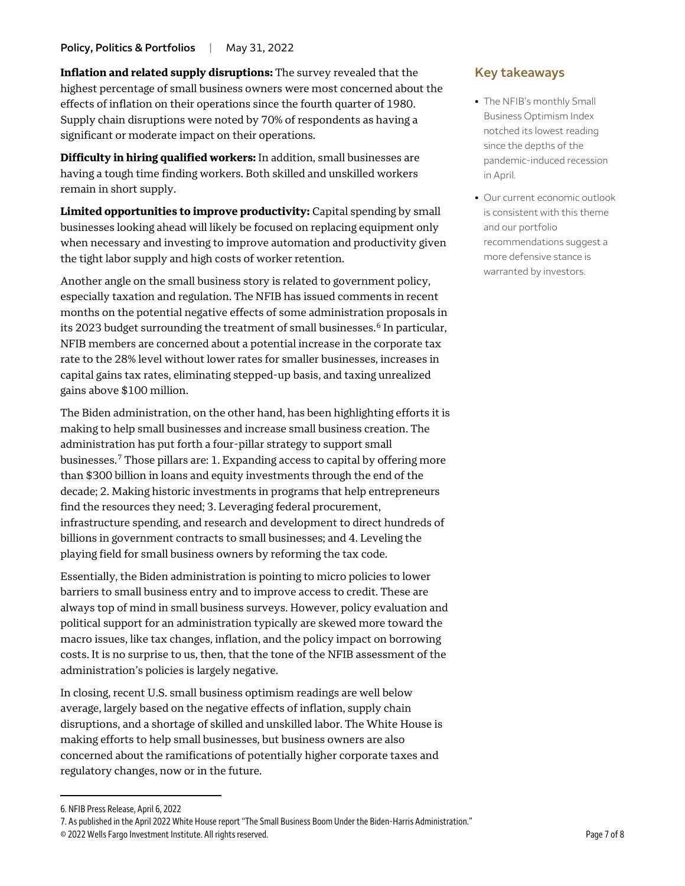**Inflation and related supply disruptions:** The survey revealed that the highest percentage of small business owners were most concerned about the effects of inflation on their operations since the fourth quarter of 1980. Supply chain disruptions were noted by 70% of respondents as having a significant or moderate impact on their operations.

**Difficulty in hiring qualified workers:** In addition, small businesses are having a tough time finding workers. Both skilled and unskilled workers remain in short supply.

**Limited opportunities to improve productivity:** Capital spending by small businesses looking ahead will likely be focused on replacing equipment only when necessary and investing to improve automation and productivity given the tight labor supply and high costs of worker retention.

Another angle on the small business story is related to government policy, especially taxation and regulation. The NFIB has issued comments in recent months on the potential negative effects of some administration proposals in its 2023 budget surrounding the treatment of small businesses.<sup>[6](#page-6-0)</sup> In particular, NFIB members are concerned about a potential increase in the corporate tax rate to the 28% level without lower rates for smaller businesses, increases in capital gains tax rates, eliminating stepped-up basis, and taxing unrealized gains above \$100 million.

The Biden administration, on the other hand, has been highlighting efforts it is making to help small businesses and increase small business creation. The administration has put forth a four-pillar strategy to support small businesses. [7](#page-6-1) Those pillars are: 1. Expanding access to capital by offering more than \$300 billion in loans and equity investments through the end of the decade; 2. Making historic investments in programs that help entrepreneurs find the resources they need; 3. Leveraging federal procurement, infrastructure spending, and research and development to direct hundreds of billions in government contracts to small businesses; and 4. Leveling the playing field for small business owners by reforming the tax code.

Essentially, the Biden administration is pointing to micro policies to lower barriers to small business entry and to improve access to credit. These are always top of mind in small business surveys. However, policy evaluation and political support for an administration typically are skewed more toward the macro issues, like tax changes, inflation, and the policy impact on borrowing costs. It is no surprise to us, then, that the tone of the NFIB assessment of the administration's policies is largely negative.

In closing, recent U.S. small business optimism readings are well below average, largely based on the negative effects of inflation, supply chain disruptions, and a shortage of skilled and unskilled labor. The White House is making efforts to help small businesses, but business owners are also concerned about the ramifications of potentially higher corporate taxes and regulatory changes, now or in the future.

 $\overline{a}$ 

#### **Key takeaways**

- The NFIB's monthly Small Business Optimism Index notched its lowest reading since the depths of the pandemic-induced recession in April.
- Our current economic outlook is consistent with this theme and our portfolio recommendations suggest a more defensive stance is warranted by investors.

<span id="page-6-0"></span><sup>6.</sup> NFIB Press Release, April 6, 2022

<span id="page-6-1"></span><sup>7.</sup> As published in the April 2022 White House report "The Small Business Boom Under the Biden-Harris Administration."

<sup>© 2022</sup> Wells Fargo Investment Institute. All rights reserved. Page 7 of 8